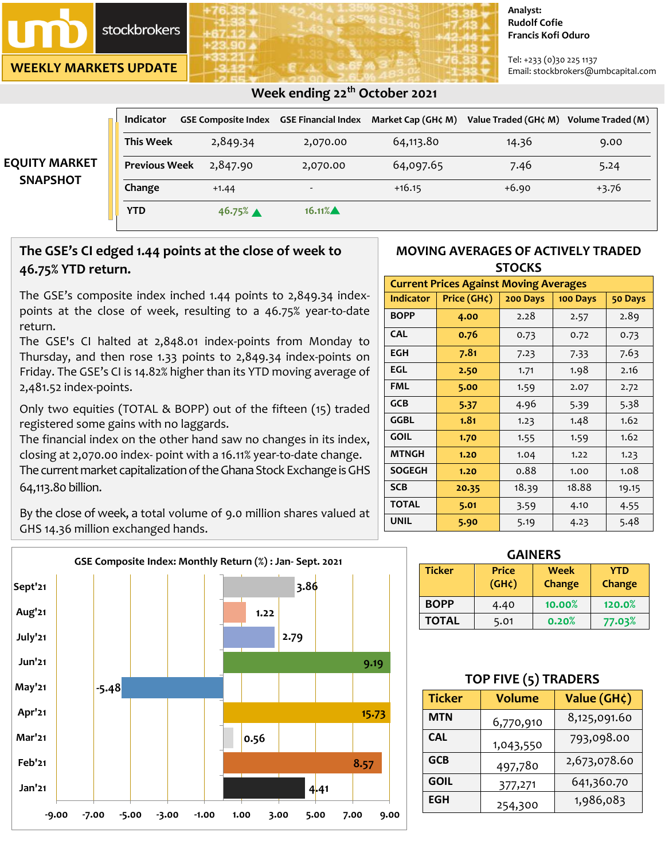

**WEEKLY MARKETS UPDATE**

#### **Analyst: Rudolf Cofie Francis Kofi Oduro**

Tel: +233 (0)30 225 1137 Email: stockbrokers@umbcapital.com

| <b>EQUITY MARKET</b><br><b>SNAPSHOT</b> | <b>Indicator</b>     | <b>GSE Composite Index GSE Financial Index</b> |                          | Market Cap (GH¢ M) | Value Traded (GH¢ M) | Volume Traded (M) |
|-----------------------------------------|----------------------|------------------------------------------------|--------------------------|--------------------|----------------------|-------------------|
|                                         | <b>This Week</b>     | 2,849.34                                       | 2,070.00                 | 64,113.80          | 14.36                | 9.00              |
|                                         | <b>Previous Week</b> | 2,847.90                                       | 2,070.00                 | 64,097.65          | 7.46                 | 5.24              |
|                                         | Change               | $+1.44$                                        | $\overline{\phantom{0}}$ | $+16.15$           | $+6.90$              | $+3.76$           |
|                                         | <b>YTD</b>           | 46.75%                                         | 16.11%                   |                    |                      |                   |

 **Week ending 22th October 2021** 

# **The GSE's CI edged 1.44 points at the close of week to 46.75% YTD return.**

The GSE's composite index inched 1.44 points to 2,849.34 indexpoints at the close of week, resulting to a 46.75% year-to-date return.

The GSE's CI halted at 2,848.01 index-points from Monday to Thursday, and then rose 1.33 points to 2,849.34 index-points on Friday. The GSE's CI is 14.82% higher than its YTD moving average of 2,481.52 index-points.

Only two equities (TOTAL & BOPP) out of the fifteen (15) traded registered some gains with no laggards.

The financial index on the other hand saw no changes in its index, closing at 2,070.00 index- point with a 16.11% year-to-date change. The current market capitalization of the Ghana Stock Exchange is GHS 64,113.80 billion.

By the close of week, a total volume of 9.0 million shares valued at GHS 14.36 million exchanged hands.



### **MOVING AVERAGES OF ACTIVELY TRADED STOCKS**

| <b>Current Prices Against Moving Averages</b> |             |          |          |         |  |  |
|-----------------------------------------------|-------------|----------|----------|---------|--|--|
| <b>Indicator</b>                              | Price (GH¢) | 200 Days | 100 Days | 50 Days |  |  |
| <b>BOPP</b>                                   | 4.00        | 2.28     | 2.57     | 2.89    |  |  |
| <b>CAL</b>                                    | 0.76        | 0.73     | 0.72     | 0.73    |  |  |
| EGH                                           | 7.81        | 7.23     | 7.33     | 7.63    |  |  |
| EGL                                           | 2.50        | 1.71     | 1.98     | 2.16    |  |  |
| <b>FML</b>                                    | 5.00        | 1.59     | 2.07     | 2.72    |  |  |
| <b>GCB</b>                                    | 5.37        | 4.96     | 5.39     | 5.38    |  |  |
| <b>GGBL</b>                                   | 1.81        | 1.23     | 1.48     | 1.62    |  |  |
| <b>GOIL</b>                                   | 1.70        | 1.55     | 1.59     | 1.62    |  |  |
| <b>MTNGH</b>                                  | 1.20        | 1.04     | 1.22     | 1.23    |  |  |
| <b>SOGEGH</b>                                 | 1.20        | 0.88     | 1.00     | 1.08    |  |  |
| <b>SCB</b>                                    | 20.35       | 18.39    | 18.88    | 19.15   |  |  |
| <b>TOTAL</b>                                  | 5.01        | 3.59     | 4.10     | 4.55    |  |  |
| <b>UNIL</b>                                   | 5.90        | 5.19     | 4.23     | 5.48    |  |  |

| <b>GAINERS</b> |                                    |                |                      |  |  |  |  |
|----------------|------------------------------------|----------------|----------------------|--|--|--|--|
| <b>Ticker</b>  | <b>Price</b><br>(GH <sub>c</sub> ) | Week<br>Change | <b>YTD</b><br>Change |  |  |  |  |
| <b>BOPP</b>    | 4.40                               | 10.00%         | 120.0%               |  |  |  |  |
| <b>TOTAL</b>   | 5.01                               | 0.20%          | 77.03%               |  |  |  |  |

## **TOP FIVE (5) TRADERS**

| <b>Ticker</b> | <b>Volume</b> | Value (GH¢)  |  |  |
|---------------|---------------|--------------|--|--|
| MTN           | 6,770,910     | 8,125,091.60 |  |  |
| <b>CAL</b>    | 1,043,550     | 793,098.00   |  |  |
| <b>GCB</b>    | 497,780       | 2,673,078.60 |  |  |
| <b>GOIL</b>   | 377,271       | 641,360.70   |  |  |
| EGH           | 254,300       | 1,986,083    |  |  |